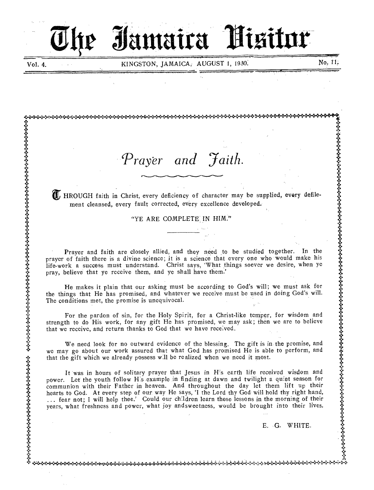# Jamaira Pisitor .

\* 4 At .1:

 $\mathbb{R}$ 

Vol. 4. KINGSTON, JAMAICA, AUGUST 1, 1930. No, 11,

.1 1 . y to the control of the control of the control of the control of the control of the control of the control of

(I) HROUGH faith in Christ, every deficiency of character may be supplied, every defile-

Prayer and faith are closely allied, and they need to be studied together. In the

He makes it plain that our asking must be according to God's will; we must ask for the things that He has promised, and whatever we receive must be used in doing God's will.

We need look for no outward evidence of the blessing. The gift is in the promise, and we may go about our work assured that what God has promised He is able to perform, and

strength to do His work, for any gift He has promised, we may ask; then we are to believe that we receive, and return thanks to God that we have received.

power. Let the youth follow H:s example in finding at dawn and twilight a quiet season for

"YE ARE COMPLETE IN HIM."

ment cleansed, every fault corrected, every excellence developed.

.....)+:..:.'...:.....X÷:÷it.:4°M.,.:•C...).:":••:."....\*\*)+C÷:":fr.:•.:÷:.X.i.°:..).:\*\*:\*\*.8..e.c!":•.:\*t:•.:÷:\*\*\*+, :":.•:.•:°+.:÷:÷;\*+••••+•:";i444°

pray, believe that ye receive them, and ye shall have them.'

The conditions met, the promise is unequivocal.

**:\*** 

s

y y

tangan di kacamatan di kacamatan di kacamatan di kacamatan di kacamatan di kacamatan di kacamatan di kacamatan<br>Kacamatan di kacamatan di kacamatan di kacamatan di kacamatan di kacamatan di kacamatan di kacamatan di kacama

y e

).

.:  $\widetilde{\mathcal{L}}$ 

 $\ddot{\bullet}$  .

 $\ddot{\phantom{a}}$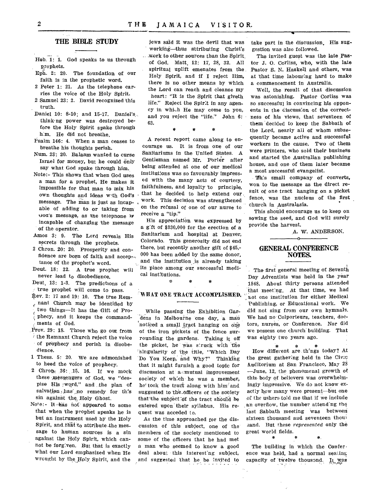#### **THE BIBLE STUDY**

- Heb. 1: 1. God speaks to us through prophets.
- Eph. 2: 20. The foundation of our faith is in the prophetic word.
- 2 Peter 1: 21. As the telephone carries the voice of the Holy Spirit.
- 2 Samuel 23: 2. David recognized this truth.
- Daniel 10: 8-10; and 15-17. Daniel's. think, ng power was destroyed before the Holy Spirit spake through him. He did not breathe.
- Psalm 146: 4. When a man ceases to breathe his thoughts perish.
- Num. 23: 20. Balaam wanted to curse Israel for money, but he could only say what God spake through him.
- Note:- This shows that when God uses a man for a prophet, He makes it impossible for that man to mix his own thoughts and ideas wth God's message. The man is just as incapable of adding to or taking from God's message, as the telephone is incapable of changing the message of the operator.
- Amos 3: 9. The Lord reveals His secrets through the prophets.
- 2 Chron. 20: 20. Prosperity and confidence are born of faith and accep-tance of the prophet's word.
- Deut. 18: 22. A true prophet will never lead to disobedience.
- Deut. 13: 1-3. The predictions of a true prophet will come to pass.
- 4ev. 2: 17 and 19: 10. The true Remnant Church may be identified by two things—It has the Gift of Prophecy, and it keeps the commandments of God.
- Prov. 29: 18. Those who go out from the Remnant Church reject the voice of prophecy and perish in disobedience.
- 1 Thess. 5: 20. We are admonished to heed the voice of prophecy.
- 2 Chron. 36: 15. 16. If we mock these ,messengers of God, we "despise His word," and the plan of salvation  $_{\circ}$  has no remedy for this sin against the, Holy Ghost.
- Note:- It has not appeared to some that when the prophet speaks he is but an instrument used by the Holy Spirit, and that to attribute the message to human sources is a sin against the Holy Spirit, which cannot be forgiven. But that is exactly what our Lord emphasized when He wrought by the IDly Spirit, and the

jews said it was the devil that was working—thus attributing Christ's \_work to other sources than the Spirit of God. Matt 12: 17, 28, 32. All spiritual uplift emenates from the Holy Spirit, and if I reject Him, there is no other means by which the Lord can reach and cleanse my heart: "It is the Spirit that giveth life." Reject the Spirit in any agency in which He may come to you. and you reject the "life.'' John 6: 63.

A recent report came along to encourage us. It is from one of our Sanitariums in the United States. A Gentleman named Mr. Porter after being attended at one of our medical institutions was so favourably impressed with the many acts of courtesy, faithfulness, and loyalty to principle, that he decided to help extend our work. This decision was strengthened on the refusal of one of our nurse to receive a "tip."

His appreciation was expressed by a g'ft of \$330,000 for the erection of a Sanitarium and hospital at Denver, Colorado. This generosity did not end there, but recently another gift of \$45,- 000 has been added by the same donor, and the institution is already taking its place among our successful medical institutions.

\* \*

#### WHAT ONE TRACT ACCOMPLISHED.

While passing the Exhibition Gardens in Melbourne one day, a man noticed a small tract hanging on one of the iron pickets of the fence surrounding the gardens. Taking it off the picket, he was struck with the 'Singularity of the title, "Which Day 'Do You Keep, and Why?" Thinking that it might furnish a good topic for discussion at a mutual improvement society of which he was a member, he took the tract along with him and suggested to the.Officers of the society that the subject: of the tract should be entered upon their syllabus. His request was acceded to.

As the time approached for the discussion of this subject, one of the members of the society mentioned to some of the officers that he had met a man who seemed to know a good deal about this interesting subject, and suggested that he be invited to take part in the discussion. His suggestion was also followed.

The invited guest was the late Pastor J. 0. Corliss, who, with the late Pastor S. N. Haskell and others, was at that time labouring hard to make a commencement in Australia.

Well, the result of that discussion was astonishing. Pastor Corliss was so successful in convincing his opponents in the discussion of the correctness of his views, that seventeen of them decided to keep the Sabbath of the Lord, nearly all of whom subsequently became active and successful workers in the cause. Two of them were printers, who sold their business and started the Australian publishing house, and one of them later became a most successful evangelist.

Vh's small company of converts, won to the message as the direct result of one tract hanging on a picket fence, was the nucleus of the first church in Australasia.

This should encourage us to keep on sowing the seed, and God will surely provide the harvest.

A. W. ANDERSON.

### **GENERAL CONFERENCE NOTES.**

The first general meeting of Seventh Day Adventists was held in the year 1848. About thirty persons attended that meeting. At that time, we had not one institution for either Medical Publishing, or Educational work. We did not sing from our own hymnals. We had no Colporteurs, teachers, doctors, nurses, or Conference. Nor did we possess one church building. That Was eighty two years ago.

\* \* \* How different are th'ngs today? At the great gathering held in the Civic Auditorium at San Francisco, May 28 —June, 12, the, phenomenal growth of this,body of believers was overwhelmingly impressive. We do not know exactly how many were present—but one of the ushers-told me that if we include an overflow, the number attending the last Sabbath meeting was between sixteen thousand and seventeen thou sand. But these *represented* only the great world fields. \* \* \*-

The building in which the Conference was held, had a normal seating capacity of twelve thousand. It was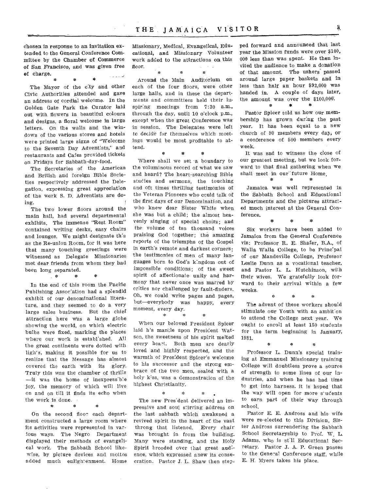chosen in response to an invitation extended to the General Conference Committee by the Chamber of Commerce of San Francisco, and was given free of charge.

\* \* \* The Mayor of the city and other Civic Authorities attended and gave an address of cordial welcome. In the Golden Gate Park the Curator laid out with flowers in beautiful colours and designs, a floral welcome in large letters. On the walls and the windows of the various stores and hotels were printed large signs of "Welcome to the Seventh Day Adventists," and restaurants and Cafes provided tickets on Fridays for Sabbath-day-food.

The Secretaries of the American and British and foreign Bible Societies respectively addressed the Delegation, expressing great appreciation of the work S. D. Adventists are doing.

The two lower floors around the main hall, had several departmental exhibits. The immense "Rest Room" contained writing desks, easy chairs and lounges. We might designate this as the Re-union Room, for it was here that many touching greetings were witnessed as Delegate Missionaries met dear friends from whom they had been long separated.

In the end of this room the Pacific Publishing Association had a splendid exhibit of our denominational literature, and they seemed to do a very large sales business. But the chief attraction here was a large globe showing the world, on which electric bulbs were fixed, marking the places where our work is established. All the great continents were dotted with lights, making it possible for us to realize that the Message has almost covered the earth with its glory. Truly this was the chamber of thrills  $\text{---it}$  was the home of inexpress'ble joy, the memory of which will live on and on till it finds its echo when the work is done.

On the second floor each department constructed a large room where its activities were represented in various ways. The Negro Department displayed their methods of evangelical work. The Sabbath School likewise, by picture devices and mottos added much enlightenment. Home

 $\frac{d\mathbf{r}}{d\mathbf{r}}$ 

 $\frac{1}{2}$ 

一家

Missionary, Medical, Evangelical, Educational, and Missionary Volunteer work added to the attractions on this floor.

#### \*  $\frac{1}{2}$  $\mathbf{x}$

Around the Main Auditorium on each of the four floors, were other large hails, and in these the departments and committees held their inspiring meetings from 7:30 a.m., through the day, until 10 o'clock p.m., except when the great Conference was in session. The Delegates were left to decide for themselves which meetings would be most profitable to attend. \* \* \*

Where shall we set •a boundary to the voluminous record of what we saw and heard? The heart-searching Bible studies and sermons, the touching and oft times thrilling testimonies of the Veteran Pioneers who could talk of the first days of our Denomination, and who knew dear Sister White when she was but a child; the almost heavenly singing of special choirs; and the volume of ten thousand voices praising God together; the amazing reports of the triumphs of the Gospel in earth's remote and darkest corners; the testimonies of men of many languages born to God's kingdom out of impossible conditions; of the sweet spirit of affectionate unity and harmony that never once was marred by critics nor challenged by fault-finders. Oh, we could write pages and pages, but—everybody was happy, every moment, every day. \* \* \*

When our beloved President Spicer laid h's mantle upon President Watson, the sweetness of his spirit melted every heart. Both men are dearly loved and highly respected, and the warmth of President Spicer's welcome to his successor and the strong embrace of the two men, sealed with a holy kiss, was a demonstration of the highest Christianity.

\* \* \* The new Pres'dent delivered an impressive and soul stirring address on the last sabbath which awakened a revived spirit in the heart of the vast throng that listened. Every chair was brought in from the building. Many were standing, and the Holy Spirit brooded over that great audience, which expressed anew its consecration. Pastor J. L. Shaw then stepped forward and announced that last year the Mission funds were over \$100, 000 less than was spent. He then invited the audience to make a donation of that amount. The ushers passed around large paper baskets and in less than half an hour \$92,000 was handed in. A couple of days later, the amount was over the \$100,000.

Pastor Spicer told us how our membership has grown during the past year. It has been equal to a new church of 80 members every day, or a conference of 500 members every week.

 $\pm$ 

\*

It was sad to witness the close of our greatest meeting, but we look forward to that final gathering when we shall meet in our future Home.<br> $*$  \* \* \* \* \*

Jamaica was well represented in the Sabbath School and Educational Departments and the pictures attracted much interest at the General Conference.

\* \* \* Six workers have been added to Jamaica from the General Conference viz: Professor R. E. Shafer, B.A., of Walla Walla College, to be Principal of our Mandeville College, professor

Leslie Dunn as a vocational teacher, and Pastor L. L. Hutchinson, with their wives. We gratefully look forward to their arrival within a few weeks.

The advent of these workers should stimulate our Youth with an ambition to attend the College next year. We ought to enroll at least 150 students for the term beginning in January, 1931.

ą.

 $\pm$ 

\*.

Professor L. Dunn's special training at Emmanuel Missionary training College will doubtless prove a source of strength to some lines of our industries, and when he has had time to get into harness. it is hoped that the way will open for more s'udents to earn part of their way through school.

Pastor E. E. Andross and his wife were re-elected to this Division, Sister Andross surrendering the Sabbath School Secretaryship to Prof. W, L. Adams, who is still Educational Secretary. Pastor J. A. P. Green passes to the General Conference staff, while E. H. Myers takes his place.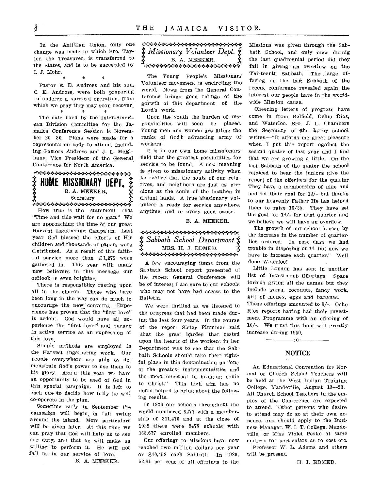In the Antillian Union, only one change was made in which Bro. Taylor, the Treasurer, is transferred to the States, and is to be succeeded by I. J. Mohr.

Pastor E. E. Andross and his son, C. E. Andross, were both preparing to undergo a surgical operation, from which we pray they may soon recover. 19  $\sim$ 

The date fixed by the Inter-American Division Committee for the Jamaica Conference Session is November 20-30. Plans were made for a representation body to attend, including Pastors Andross and J. L. McElhany, Vice President of the General Conference for North America.

## 1: **HOME MISSIONARY OEM**  B. A. MEEKER.

ecretary<br>Secretary Secretary (1990-1999)

How true is the statement that "Time and tide wait for no man." We are approaching the time of our great Harvest Ingathering Campaign. Last year God blessed the efforts of His children and thousands of papers were distributed. As a result of this faithful service more than  $£1,275$  were gathered in. This year with many new believers in this message OUT outlook is even brighter.

There is responsiblity resting upon all in the church. Those who have been long in the way can do much to encourage the new 'converts, Experience has proven that the "first love" is ardent. God would have all experience the "first dove" and engage in active service as an expression of this love.

Simple methods are employed in the Harvest Ingathering work. Our people everywhere are able to demonstrate God's power to use them to his glory. Aga'n this year we have an opportunity to be used of God in this special campaign. It is left to each one to decide how fully he will co-operate in the plan.

Sometime early in September the campaign will begin, in full swing around the island. More particulars will be given later. At this time we can pray that God will help us to see our duty, and that he will make us willing to perform it. He will not fall us in our service of love.

B. A. MEEKER.

## *-4-:-.:.,:-:-:-:.•:-:-•:•++.:-:••:••:«:•••::-.:•.:•••:•4....::*   $\ddot{\hat{\bm{x}}}$  *Missionary Volunteer Dept.*<br> $\ddot{\hat{\bm{x}}}$  B. A. MEEKER. -....\*:••••••:.•:••:••••:•••••:.+••••:•••

The Young People's Missionary Volunteer movement is encircling the world. News from the General Conference brings good tidings of the gorwth of this department of the Lord's work.

Upon the youth the burden of responsibilities will soon be placed. Young men and women are filling the ranks of God's advancing army of workers.

It is in our own home misssionary field that the greatest possibilities for service to be found. A new meaning is given to misssionary activity when ke realize that the souls of our relatives, and neighbors are just as precious as the souls of the heathen in distant lands. A true Missionary Volunteer is ready for service anywhere, anytime, and in every good cause.

B. A. MEEKER.

\*\*\*\*\*\*\*\*\*\*\*\*\*\*\*\*\*\*\*\*\*\*\*\*\*\* 5: *Sabbath School Department*   $\S$  – MRS. H. J. EDMED.  $\S$ 

A few encouraging items from the Sabbath School report presented at the recent General Conference will be of interest I am sure to our schools who may not have had access to the Bulletin.

We were thrilled as we listened to the progress that had been made during the last four years. In the course of the report Sister Plummer said that the great burden that rested upon the hearts of the workers in her Department was to see that the Sabbath Schools should take their rightful place in this denomination as "one of the greatest instrumentalities and the most effectual in bringing souls to Christ." This high aim has no doubt helped to bring about the follow. ing results.

In 1926 our schools throughout the world numbered 8277 with a member. ship of 311,476 and at the close of 1929 there were 9478 schools with 368,677 enrolled members.

Our offerings to Missions have now reached two million dollars per year or \$40,458 each Sabbath. In 1929, 52.81 per cent of all offerings to the

Missions was given through the Sabbath School, and only once durnig the last quadrennial period did they fail in giving an overflow on the Thirteenth Sabbath. The large offering on the last Sabbath of the recent conference revealed again the interest our people have in the worldwide Mission cause.

Cheering letters of progress have come in from Belfield, Ochio Rios, and Waterloo. Bro. J. L. Chambers the Secretary of the latter school writes.—"It affords me great pleasure when I put this report against the second quater of last year and I find that we are growing a little. On the last Sabbath of the quater the school rejoiced to hear the juniors give the report of the offerings for the quarter They have a membership of nine and had set their goal for 12/- but thanks to our heavenly Father He has helped them to raise  $16/3\frac{1}{2}$ . They have set the goal for 14/- for next quarter and we believe we will have an overflow.

The growth of our school is seen by the increase in the number of quarterlies ordered. In past days we had trouble in disposing of 14, but now we have to increase each quarter." Well done Waterloo!

Little London has sent in another list of Investment Offerings. Space forbids giving all the names but they include yams, coconuts, fancy work, gift of money, eggs and bananas. These offerings amounted to 9/-. Ocho

Rios reports having had their Investment Programme with an offering of 10/-. We trust this fund will greatly increase during 1930.

 $- : 0 : -$ 

### **NOTICE**

An Educational Convention for Normal or Church School Teachers will be held at the West Indian Training College, Mandeville, August 13--23. All Church School Teachers in the employ of the Conference are expected to attend. Other persons who desire to attend may do so at their own expense, and should apply to the Business Manager, W. I. T. College, Mandeville, or Miss Violet Peake at same address for particulars as. to cost etc. Professor W. L. Adams and others

will be, present.

H. J. EDMED.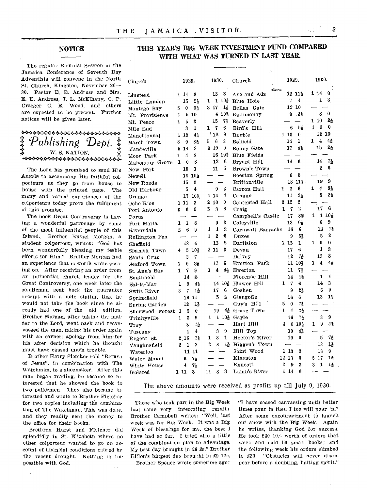#### NOTICE

The regular Biennial Session of the Jamaica Conference of Seventh Day Adventists will convene in the North St. Church, Kingston, November 20- 30. Pastor E. E. Andross and Mrs. E. E. Andross, J. L. McElhany, C. P. Craeger C. E. Wood, and others are expected to be present. Further notices will be given later.

**MAGAZANANG PROPINSI PANGANGANG PANG** *Publishing Dept.:\_: W.* S. NATION.

The Lord has promised to send His Angels to accompany His faithful colporteurs as they go from house to house with the printed page. The many and varied experiences of the colporteurs today prove the fulfilment of this promise.

The book Great Controversy is having a wonderful patronage by some of the most influential people of this Island., Brother Russel Morgan, a student colporteur, writes: "God has been wonderfully blessing my feeble efforts for Him." Brother Morgan had an experience that is worth while passing on. After receiving an order from an influential church leader for the Great Controversy, one week later the gentleman sent back the guarantee teceipt with a note stating that he would not take the book since he already had one of the old edition. Brother Morgan, after taking the matter to the Lord, went back and recanvassed the man, taking his order again with an earnest apology from him for his after decision which he thought must have caused much trouble.

Brother Harry Fletcher sold "Return of Jesus", in comb'nation with The Watchman, to a shoemaker. After this man began reading, he became so interested that he showed the book to two policemen. They also became interested and wrote to Brother Fletcher for two copies including the combination of The Watchman. This was done, and they readily sent the money to the office for their books.

Brethren Hurst and Fletcher did splendidly in St. E'izabeth where no ether colporteur wanted to go on account of financial conditions cawed by the recent drought. Nothing is impossible with God.

### THIS YEAR'S BIG WEEK INVESTMENT FUND COMPARED WITH WHAT WAS TURNED IN LAST YEAR.

| Church           | 1929.                     | 1930.                               | Church                | 1929.                                    | 1930.                               |
|------------------|---------------------------|-------------------------------------|-----------------------|------------------------------------------|-------------------------------------|
| ${\rm Linstein}$ | 3<br>1 11                 | 13<br>3                             | talian<br>Axe and Adz | 12 111                                   | 1 14<br>0                           |
| Little London    | 15<br>$2\frac{1}{2}$      | $110\frac{1}{2}$<br>1               | Blue Hole             | $\overline{\mathbf{4}}$<br>7             | 3<br>1                              |
| Montego Bay      | $0\frac{1}{2}$<br>0<br>5  | S <sub>17</sub><br>1š               | Bellas Gate           | 12 10                                    |                                     |
| Mt. Providence   | 5<br>10<br>1              | 4 10}                               | Ballimonay            | - 24<br>9                                | 0<br>8                              |
| Mt. Peace        | 3<br>1<br>5               | 15<br>7š                            | Beaverly              |                                          | $2\frac{1}{2}$<br>110               |
| Mile End         | 1<br>3                    | $\mathbf 7$<br>6<br>1               | Bird's Hill           | 6<br>51                                  | 1<br>0<br>$\bf{0}$                  |
| Manchioneal      | $4\frac{1}{2}$<br>1 19    | '18<br>9                            | Bagble                | $1\,$ 13<br>0                            | 12<br>10                            |
| March Town       | 8}<br>8<br>$\bf{0}$       | 3<br>6<br>5                         | Belfield              | 1<br>14                                  | $\overline{4}$<br>4,<br>1           |
| Mandeville       | 8<br>5<br>14              | 9<br>2 19                           | Bonny Gate            | 17<br>$4\frac{1}{2}$                     | $2\frac{1}{2}$<br>15                |
| Moor Park        | 8<br>4<br>1               | $16 \; 10\frac{1}{2}$               | Blue Fields           |                                          |                                     |
| Mahogany Grove   | 8<br>$\bf{0}$<br>1        | 12<br>6                             | Bryant Hill           | 6<br>14                                  | 14<br>71                            |
| New Fort         | 1<br>18                   | 5<br>11                             | Brown's Town          |                                          | $\overline{2}$<br>6                 |
| Newell           | $18 \; 10\frac{1}{2}$     |                                     | Beeston Spring        | 8<br>6                                   |                                     |
| New Roads        | 3<br>15                   |                                     | Brittonville          | 11.1.<br>18                              | 9<br>13                             |
| Old Harbour      | 4<br>5                    | 9<br>3                              | Carron Hall           | 6<br>1<br>$\mathbf{2}$                   | 1<br>4<br>8,                        |
| Orange           | 17<br>$10\frac{1}{2}$     | 1 14<br>4                           | Canaan                | 17<br>$2\frac{1}{2}$                     | $2\frac{1}{2}$<br>8                 |
| Ocho R'os        | 1 11<br>3                 | 210<br>0                            | Contented Hall        | $\mathbf 2$<br>2<br>12                   |                                     |
| Port Antonio     | 9<br>6<br>3               | 3 <sub>1</sub><br>6<br>5            | Craig                 | $\overline{2}$<br>1<br>7                 | 6<br>17                             |
| Porus            |                           |                                     | Campbell's Castle     | 17<br>8∌                                 | 1<br>$1\,10\frac{1}{2}$             |
| Port Maria       | 1<br>8<br>1               | 3<br>9                              | Coleyville            | 0ء<br>18                                 | 9<br>6                              |
| Riversdale       | 6<br>9<br>2               | 1<br>3<br>1                         | Cornwall Barracks     | 6<br>16                                  | 12<br>4월                            |
| Rollington Pen   |                           | $\overline{2}$<br>6<br>$\mathbf{1}$ | Duxes                 | 9<br>52                                  | 2<br>5                              |
| Sheffield        | 4<br>18                   | 9<br>13                             | Darliston             | $1\,15$<br>1                             | $\mathbf 0$<br>1<br>$\theta$        |
| Spanish Town     | 5<br>$10\frac{1}{2}$<br>4 | 3<br>$2\;11$                        | Devon                 | 6<br>17                                  | 1<br>3                              |
| Santa Cruz       | 3<br>7                    |                                     | Dalvey                | 12<br>73                                 | 8<br>13                             |
| Seaford Town     | Se.<br>0<br>1             | 17<br>6                             | Everton Park          | 11 10층                                   | 44<br>$\overline{\bf{4}}$<br>1      |
| St. Ann's Bay    | 7<br>1<br>9               | 41<br>1<br>4                        | Ewerton               | 11<br>71                                 |                                     |
| Southfield       | i8<br>14                  |                                     | Florence Hill         | 14<br>41                                 | 1<br>1                              |
| Sal-la-Mar       | 9<br>41<br>1              | 14 101                              | Flower Hill           | 6<br>1<br>7                              | 3<br>14                             |
| Swift River      | 1,<br>3<br>7              | 6<br>17                             | Goshen                | 9<br>$2\frac{1}{2}$                      | 9<br>6                              |
| Springfield      | 16 11                     | $\mathbf{2}$<br>5                   | Glengoffe             | 3<br>16                                  | 14<br>13                            |
| Spring Garden    | 12<br>1,                  |                                     | Guy's Hill            | 5<br>$\bf{0}$<br>71                      |                                     |
| Sherwood Forest  | 5<br>0<br>1               | 19<br>$4\frac{1}{2}$                | Grove Town            | 1<br>$\overline{4}$<br>$2\frac{1}{2}$    |                                     |
| Trinityville     | 1<br>$\mathbf{3}$<br>9    | 110<br>1                            | Gayle                 | 16<br>71                                 | 8<br>9                              |
| Troy             | 3<br>75                   |                                     | Hart Hill             | $\boldsymbol{2}$<br>0<br>$10\frac{1}{2}$ | 9<br>$4\frac{1}{2}$<br>1            |
| Tuscany          | 1<br>4                    | 9<br>3                              | Hill Top              | 绘<br>10                                  |                                     |
| Regent St.       | 2.16<br>74                | 1<br>8<br>1                         | Hector's River        | 10 <sub>10</sub><br>0                    | 5<br>74                             |
| Vaughnsfield     | 2<br>2<br>1               | 8<br>1,<br>2                        | Higgen's Town         |                                          | 13<br>11                            |
| Waterloo         | 11 11                     |                                     | Joint Wood            | 3<br>113                                 | 0<br>18                             |
| Water Mount      | 7월<br>6                   |                                     | Kingston              | 12 13<br>0                               | $1\frac{1}{2}$<br>517               |
| White House      | 4<br>$7\frac{1}{2}$       |                                     | Kencott               | 2<br>5<br>3                              | $\mathbf{1}$<br>3<br>$1\frac{1}{2}$ |
| Isolated         | 3<br>111                  | 11<br>8<br>3                        | Lamb's River          | 6<br>1 14                                |                                     |

#### The above amounts were received as profits up till July 9, 1930.

Those who took part in the Big Week had some very interesting results. Brother Campbell writes: "Well, last week was for Big Week. It was a Big Week of blessings for me, the best I have had so far. I tried also a little of the combination plan to advantage. My best day brought in £6 2s." Brother Di'lon's biggest day brought in £9 12s.

Brother Spence wrote sometime ago:

"I have ceased canvassing until better times pour in then I too will pour in." After some encouragement to launch out anew with the Big Week. Again he writes, thanking God for success. He took £20 10/- worth of orders that week and sold 50 small books; and the following week his orders climbed to £30. "Obstacles will never disappear before a doubting, halting spirit."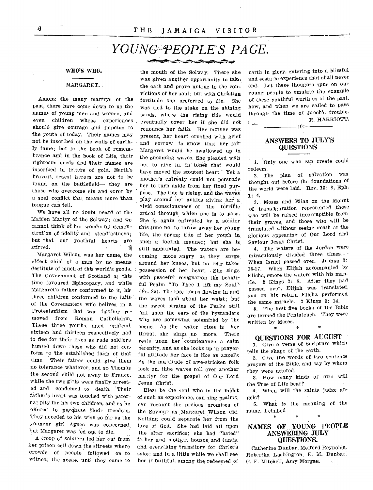## *YOUNG PEOPLE'S PAGE.*

**•-•••••---** 

#### WHO'S WHO.

#### MARGARET.

Among the many martrys of the past, there have come down to us the names of young men and women, and even children whose experiences should give courage and impetus to the youth of today. Their names may not be inscribed on the walls of earthly fame; but in the book of remembrance and in the book of Life, their righteous deeds and their names are inscribed in letters of gold. Earth's bravest, truest heroes are not to be found on the battlefield— they are those who overcome sin and error by a soul conflict that means more than tongue can tell.

We have all no doubt heard of the Maiden Martyr of the Solway; and we cannot think of her wonderful demonstration of fidelity and steadfastness. but that our youthful hearts are stirred. 门口镯

Margaret Wilson. was her name, the eldest child of a man by no means destitute of much of this world's goods. The Government of Scotland at this time favoured Episcopacy, and while Margaret's father conformed to it, his three children conformed to the faith of the Covenanters who belived in a Protestantism that was further removed from Roman Catholicism', These three youths, aged eighteen, sixteen and thirteen respectively had to flee for their lives as rude soldiers hunted down those who did not conform to the established faith of that time. Their father could give them no tolerance whatever, and so Thomas the second child got away to France, while the two girls were finally arrested and condemed to death. Their father's heart was touched with paternal pity for his two chlidren, and so he offered to purchase their freedom. They acceded to his wish so far as the younger girl Agnes was concerned, but Margaret was led out to die.

A troop of soldiers led her cut from her prison cell down the sttreets where crowds of people followed on to witness the scene, untl they came to

the mouth of the Solway. There she was given another opportunity to take, the oath and prove untrue to the convictions of her soul;, but with Christian fortitude she preferred to die. She was tied to the stake on the shining sands, where the rising tide would eventually cover her if she did not renounce her faith. Her mother was present, her heart crushed with grief and sorrow to know that her fair Margaret would be swallowed up in the oncoming waves. She pleaded with her to give in, in tones that would have moved the stoutest heart. Yet a mother's entreaty could not persuade her to turn aside from her fixed purpose. The tide is rising, and the waves play around her ankles giving her a vivid consciousness of the terrible ordeal through which she is to pass. She is again entreated by a soldier this time not to throw away her young life, the spring t'de of her youth in such a foolish manner; but she is still undaunted. The waters are becoming - more angry as they surge, around her knees, but no fear takes possession of her heart. She sings with peaceful resignation the beautiful Psalm "To Thee I lift my Soul" (Ps. 25). The tide keeps flowing in and the waves lash about her waist; but the sweet strains of the Psalm still fall upon the ears of the bystanders who are somewhat solemized by the scene. As the water rises to her throat, she sings no more. There rests upon her countenance a calm serenity, and as she looks up in prayerful attitude her face is like an angel's As the multitude of awe-stricken folk look on, thhe waves roll over another martyr for the gospel of Our Lord Jesus Christ

Blest be the soul who in the midst of such an experience, can sing psalms, can recount the prcious promises of the Saviour as Margaret Wilson did. Nothing could separate her from the love of God. She had laid all upon the altar sacrifice; she had "hated" father and mother, houses ,and lands, and everything transitory for Christ's sake; and in a little while we shall see her if faithful, among the redeemed of

earth in glory, entering into a blissful and ecstatic experience that shall never end. Let these thoughts spur on our young people to emulate the example of these youthful worthies of the past, now, and when we are called to pass through the, time of Jacob's trouble. R. HARRIOTT.  $\mathcal{L}$  .

#### ANSWERS TO JULY'S QUESTIONS

 $-0:$ 

1. Only one who can create could redeem.

2. The plan of salvation was thought out before the foundations of the world were laid. Rev. 13: 8, Eph. 1: 4.

3. Moses and Elias on the Mount of transfiguration represented those who will be raised incorruptible from their graves, and those who will be translated without seeing death at the glorious appearing of Our Lord and Saviour Jesus Christ.

4. The waters of the Jordan were miraculously divided three times:— When Israel passed over. Joshua 3: 15-17. When Elijah accompanied by Elisha, smote the waters with his mantle. 2 Kings 2: 8. After they had passed over, Elijah was translated, and on his return Elisha performed the same miracle. 2 Kings 2: 14.

5. The first five books of the Bible are termed the Pentateuch. They were written by Moses.

#### QUESTIONS FOR AUGUST

1. Give a verse of Scripture which tells the shape of the earth.

2. Give the words of two sentence prayers of the Bible. and say by whom they were uttered.

3. How many kinds of fruit will the Tree of Life bear?

4. When will the saints judge angels?

5. What is the meaning of the name, I-chabod á,

#### NAMES OF YOUNG PEOPLE ANSWERING JULY QUESTIONS.

Catherine Dunbar, Melford Reynolds, Robertha Lushington, E. M. Dunbar, 0. F. Mitchell, Amy Morgan.  $\gamma_{\rm max}$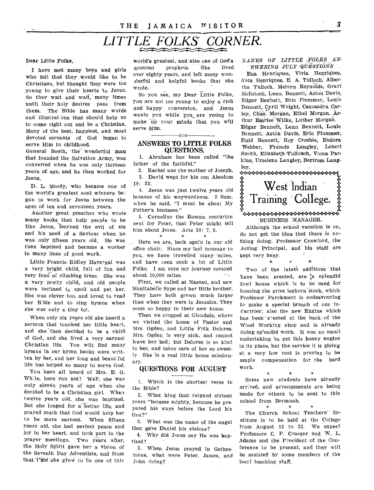## THE JAMAICA "ISITOR" 3

# *LITTLE FOLKS' CORNER.*

#### Dear Little Folks,

I have met many boys and girls who felt that they would like to be Christians, but thought they were too young to give their hearts to Jesus. So they wait and wait, many times until their holy desires pass from them. The Bible has many words and illustrations that should help us to come right out and be a Christian. Many of the best, happiest, and most devoted servants of God began to serve Him in childhood.

General Booth, the wonderful man that founded the Salvation Army, was converted when he was only thirteen years of age, and he then worked for Jesus.

D. L. Moody, who became one of the world's greatest soul winners began to work for Jesus between the ages of ten and seventeen years.

Another great preacher who wrote many books that help people to be like Jesus, learned the evil of sin and his need of a Saviour when he was only fifteen years old. He was then baptized and became a worker in many lines of good work.

Little Francis Ridley Havergal was a very bright child, full of fun and very fond of climbing trees. She was a very pretty child, and old people were inclined t<sub>o</sub> spoil and pet her. She was clever too, and loved to read her Bible and to sing hymns when she was only a tiny tot.

When only six years old she heard a sermon that touched her little heart, and she then decided to be a child of God, and she lived a very earnest Christian life. You will find many hymns in our hymn books were written by her, and her long and beautiful life has helped so many to serve God.

You have all heard of Mrs. E. G. Wh:te, have you not? Well, she was only eleven years of age when she decided to be a Christian girl. Whea twelve years old, she was baptized. But she longed for a better life, and prayed much that God would help her to be more earnest. When fifteen years old, she had perfect peace and joy in her heart, and took part in the prayer meetings. Two years after, the Holy Spirit gave her a vision of the Seventh Day Adventists, and from that the she grew to be one of this

world's greatest, and also one of God's greatest prophets. She lived over eighty years, and left many woniderful and helpful books that she wrote.

So you see, my Dear Little Folks, you are not toa young to enjoy a rich and happy conversion, and Jesus wants you while you are young to make up your minds that you will serve Him.

#### o:o ANSWERS TO LIFILE FOLKS QUESTIONS.

1. Abraham has been called "the father of the faithful."

2. Rachel was the mother of Joseph. 3. David wept for his son Absalom 19: 33.

4. Jesus was just twelve years old because of his waywardness. 2 Sam. when he said, "I must be about My Father's business."

5. • Cornelius the Roman centurion sent for Peter, that Peter might tell him about Jesus. Acts 10: 7, 8.

Here we are, back again in our old office chair. Since my last message to you, we have travelled many miles, and have seen such a lot of Little Folks. I am sure my journey covered about 10,000 miles. ÷iς

First, we called at Nassau, and saw Manitabelle Sype and her little brother. They have both grown much larger than when they were in Jamaica. They seem so happy in their new home.

Then we stopped at Glendale, where we visited the home of Pastor and Mrs. Ogden, and Little Folk Dolores. Mrs. Ogden is very sick, and cannot leave her bed; but Delores is so kind to her, and takes care of her so sweetly She is a real little home missionary.

#### QUESTIONS FOR AUGUST

1. Which is the shortest verse in the Bible?

2. What king that reigned sixteen years "became mighty, because he prepared his ways before the Lord his God?"

3. What was the name of the angel that gave Daniel his visions?

4. Why did Jesus say He was baptized?

5. When Jesus prayed in Gethsemane, what were Peter, James, and John doing?

*NAMES OF LITTLE FOLKS AN-SWERING JULY ,QUESTIONS* 

Ena Henriques, Vivia Henriques, Veta Henriques, E. A. Tulloch, Albertha Tulloch, Melvyn Reynolds, Gravi McIntosh, Lenn. Bennett, Aston Davis, Edgar Bennett, Eric Plummer, Louie Bennett, Cyril Wright, Cassandra Carley, Chas. Morgan, Ethel Morgan, Arthur Emrise Wilke, Luther Morgan. Edgar Bennett, Lenn Bennett, Louie Bennett, Aston Davis, Eric Plummer, Enid Bennett, Roy Crosbie, Eudora Webber, Francis Langley, Lebert Smith, Elizabeth Tullouch, Viona Parkins, Urselena Langley, Bertram Lang-



Although the school vacation is on, do not get the idea that there is nothing doing. Professor Crawford, the Acting Principal, and his staff are kept very busy.

Two of the latest additions that have been erected, are a splendid fowl house which is to be used for housing the prize leghorn stock, which Professor Parchment is endeavouring to make a special branch of our industries; also the new Engine which has been erected at the back of the Wood Working shop and is already doing splendid work. It was no small undertaking; to, get this heavy engine in its place, but the service it is giving at a very low cost is proving to be ample compensation for the hard work.

Some new students have already arrived, and arrangements are being made for others to be sent to this school from Bermuah.

 $\ast$ 

 $\mathbf{r}$ 

The Church School Teachers' Institute is to be held at the College from August 13 to 23. We expect Professors C. P. Craeger and W. L. Adams and the President of the Conference to be present, and they will be assisted by some members of the local teaching staff.